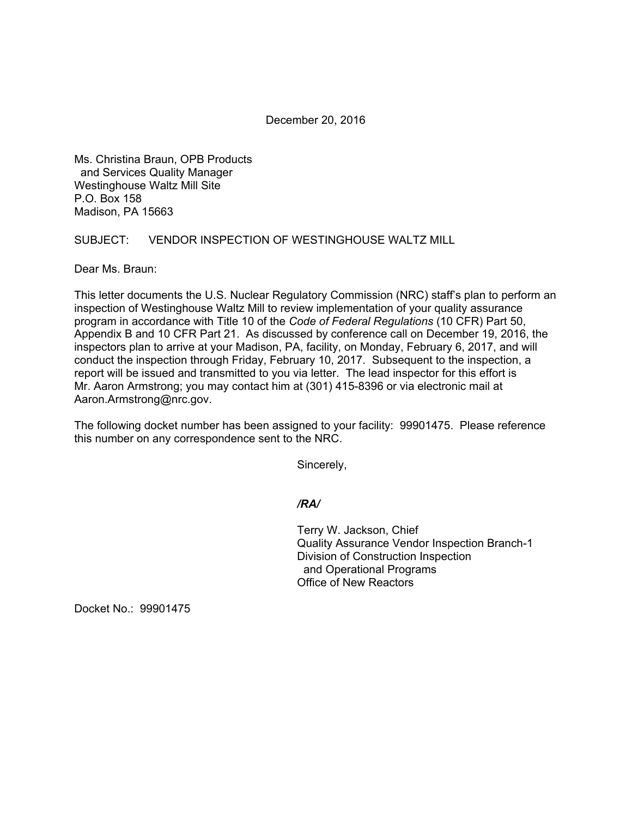December 20, 2016

Ms. Christina Braun, OPB Products and Services Quality Manager Westinghouse Waltz Mill Site P.O. Box 158 Madison, PA 15663

SUBJECT: VENDOR INSPECTION OF WESTINGHOUSE WALTZ MILL

Dear Ms. Braun:

This letter documents the U.S. Nuclear Regulatory Commission (NRC) staff's plan to perform an inspection of Westinghouse Waltz Mill to review implementation of your quality assurance program in accordance with Title 10 of the *Code of Federal Regulations* (10 CFR) Part 50, Appendix B and 10 CFR Part 21. As discussed by conference call on December 19, 2016, the inspectors plan to arrive at your Madison, PA, facility, on Monday, February 6, 2017, and will conduct the inspection through Friday, February 10, 2017. Subsequent to the inspection, a report will be issued and transmitted to you via letter. The lead inspector for this effort is Mr. Aaron Armstrong; you may contact him at (301) 415-8396 or via electronic mail at Aaron.Armstrong@nrc.gov.

The following docket number has been assigned to your facility: 99901475. Please reference this number on any correspondence sent to the NRC.

Sincerely,

## */RA/*

Terry W. Jackson, Chief Quality Assurance Vendor Inspection Branch-1 Division of Construction Inspection and Operational Programs Office of New Reactors

Docket No.: 99901475